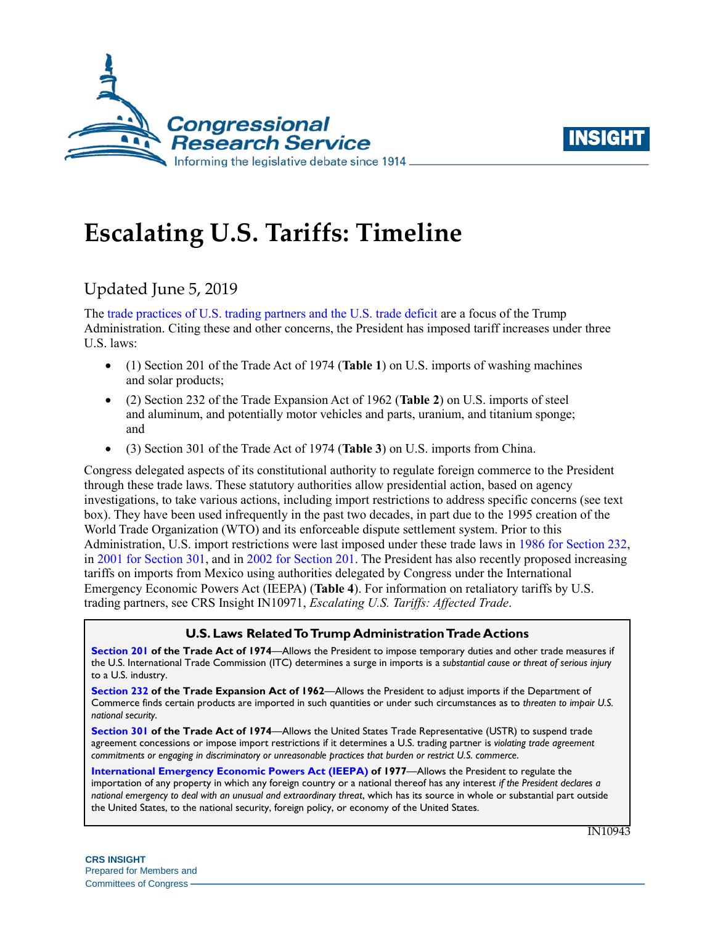



# **Escalating U.S. Tariffs: Timeline**

# Updated June 5, 2019

The [trade practices of U.S. trading partners and the](https://www.whitehouse.gov/briefings-statements/press-conference-president-trump-g7-summit/) U.S. trade deficit are a focus of the Trump Administration. Citing these and other concerns, the President has imposed tariff increases under three U.S. laws:

- (1) Section 201 of the Trade Act of 1974 (**[Table 1](#page-1-0)**) on U.S. imports of washing machines and solar products;
- (2) Section 232 of the Trade Expansion Act of 1962 (**[Table 2](#page-2-0)**) on U.S. imports of steel and aluminum, and potentially motor vehicles and parts, uranium, and titanium sponge; and
- (3) Section 301 of the Trade Act of 1974 (**[Table 3](#page-3-0)**) on U.S. imports from China.

Congress delegated aspects of its constitutional authority to regulate foreign commerce to the President through these trade laws. These statutory authorities allow presidential action, based on agency investigations, to take various actions, including import restrictions to address specific concerns (see text box). They have been used infrequently in the past two decades, in part due to the 1995 creation of the World Trade Organization (WTO) and its enforceable dispute settlement system. Prior to this Administration, U.S. import restrictions were last imposed under these trade laws in 1986 [for Section 232,](https://crsreports.congress.gov/product/pdf/R/R45249#_Ref520293262) in 2001 [for Section 301,](https://ustr.gov/archive/Document_Library/Press_Releases/2005/August/USTR_Lifts_Tariff_Sanctions_Against_Ukraine,_Announces_Out-of-Cycle_Review.html) and in [2002 for Section 201.](https://georgewbush-whitehouse.archives.gov/news/releases/2002/03/20020305-6.html) The President has also recently proposed increasing tariffs on imports from Mexico using authorities delegated by Congress under the International Emergency Economic Powers Act (IEEPA) (**[Table 4](#page-3-1)**). For information on retaliatory tariffs by U.S. trading partners, see CRS Insight IN10971, *[Escalating U.S. Tariffs: A](https://crsreports.congress.gov/product/pdf/IN/IN10971)ffected Trade*.

#### **U.S. Laws Related To Trump Administration Trade Actions**

**[Section 201](https://crsreports.congress.gov/product/pdf/IF/IF10786) of the Trade Act of 1974**—Allows the President to impose temporary duties and other trade measures if the U.S. International Trade Commission (ITC) determines a surge in imports is a *substantial cause or threat of serious injury* to a U.S. industry.

**[Section 232](https://crsreports.congress.gov/product/pdf/IF/IF10667) of the Trade Expansion Act of 1962**—Allows the President to adjust imports if the Department of Commerce finds certain products are imported in such quantities or under such circumstances as to *threaten to impair U.S. national security*.

**[Section 301](https://crsreports.congress.gov/product/pdf/IF/IF10708) of the Trade Act of 1974**—Allows the United States Trade Representative (USTR) to suspend trade agreement concessions or impose import restrictions if it determines a U.S. trading partner is *violating trade agreement commitments or engaging in discriminatory or unreasonable practices that burden or restrict U.S. commerce*.

**Congressional Research Service** *national emergency to deal with an unusual and extraordinary threat*, which has its source in whole or substantial part outside https://crsreports.congress.gov **[International Emergency Economic Powers Act](https://crsreports.congress.gov/product/pdf/R/R45618) (IEEPA) of 1977**—Allows the President to regulate the importation of any property in which any foreign country or a national thereof has any interest *if the President declares a*  the United States, to the national security, foreign policy, or economy of the United States.

IN10943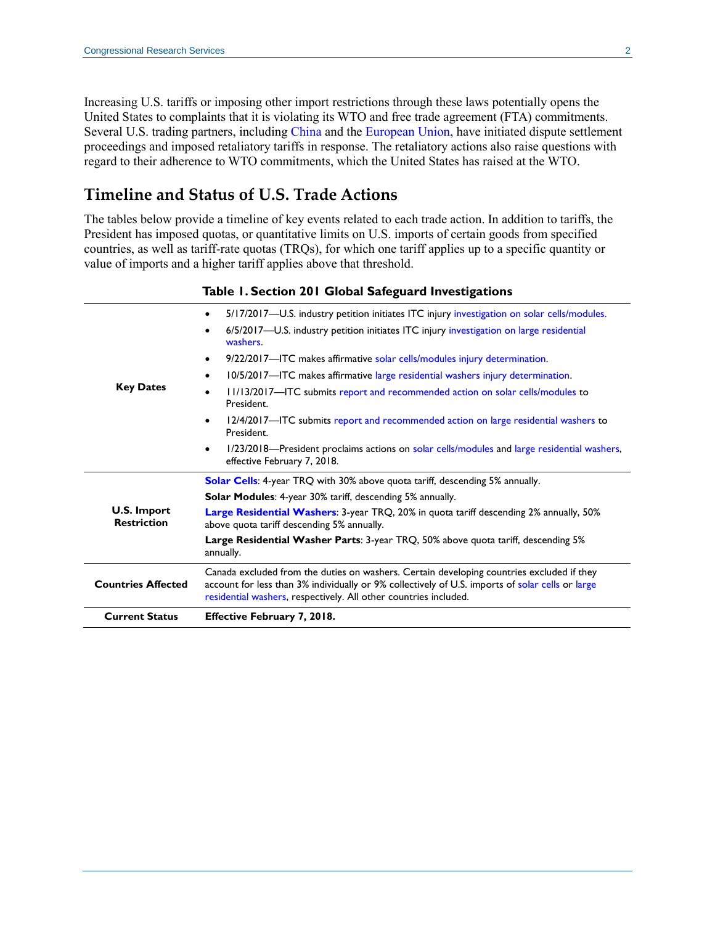Increasing U.S. tariffs or imposing other import restrictions through these laws potentially opens the United States to complaints that it is violating its WTO and free trade agreement (FTA) commitments. Several U.S. trading partners, including [China](https://docs.wto.org/dol2fe/Pages/FE_Search/FE_S_S009-DP.aspx?language=E&CatalogueIdList=244237&CurrentCatalogueIdIndex=0&FullTextHash=371857150&HasEnglishRecord=True&HasFrenchRecord=True&HasSpanishRecord=True) and the [European Union,](https://docs.wto.org/dol2fe/Pages/FE_Search/FE_S_S009-DP.aspx?language=E&CatalogueIdList=245248,245245,245239,245249,245254,245221,245244,245235,245238,245240&CurrentCatalogueIdIndex=3&FullTextHash=371857150&HasEnglishRecord=True&HasFrenchRecord=False&HasSpanishRecord=False) have initiated dispute settlement proceedings and imposed retaliatory tariffs in response. The retaliatory actions also raise questions with regard to their adherence to WTO commitments, which the United States has raised at the WTO.

## **Timeline and Status of U.S. Trade Actions**

The tables below provide a timeline of key events related to each trade action. In addition to tariffs, the President has imposed quotas, or quantitative limits on U.S. imports of certain goods from specified countries, as well as tariff-rate quotas (TRQs), for which one tariff applies up to a specific quantity or value of imports and a higher tariff applies above that threshold.

<span id="page-1-0"></span>

| 5/17/2017-U.S. industry petition initiates ITC injury investigation on solar cells/modules.<br>٠<br>6/5/2017-U.S. industry petition initiates ITC injury investigation on large residential<br>٠<br>washers.<br>9/22/2017-TC makes affirmative solar cells/modules injury determination.<br>٠<br>10/5/2017—ITC makes affirmative large residential washers injury determination.<br>٠<br><b>Key Dates</b><br>11/13/2017-ITC submits report and recommended action on solar cells/modules to<br>$\bullet$<br>President.<br>12/4/2017—ITC submits report and recommended action on large residential washers to<br>$\bullet$<br>President.<br>1/23/2018—President proclaims actions on solar cells/modules and large residential washers,<br>٠<br>effective February 7, 2018.<br><b>Solar Cells:</b> 4-year TRQ with 30% above quota tariff, descending 5% annually.<br><b>Solar Modules: 4-year 30% tariff, descending 5% annually.</b><br><b>U.S. Import</b><br>Large Residential Washers: 3-year TRQ, 20% in quota tariff descending 2% annually, 50%<br><b>Restriction</b><br>above quota tariff descending 5% annually.<br>Large Residential Washer Parts: 3-year TRQ, 50% above quota tariff, descending 5%<br>annually.<br>Canada excluded from the duties on washers. Certain developing countries excluded if they<br>account for less than 3% individually or 9% collectively of U.S. imports of solar cells or large<br><b>Countries Affected</b><br>residential washers, respectively. All other countries included.<br><b>Current Status</b> |  | היים ביוניים                       |
|---------------------------------------------------------------------------------------------------------------------------------------------------------------------------------------------------------------------------------------------------------------------------------------------------------------------------------------------------------------------------------------------------------------------------------------------------------------------------------------------------------------------------------------------------------------------------------------------------------------------------------------------------------------------------------------------------------------------------------------------------------------------------------------------------------------------------------------------------------------------------------------------------------------------------------------------------------------------------------------------------------------------------------------------------------------------------------------------------------------------------------------------------------------------------------------------------------------------------------------------------------------------------------------------------------------------------------------------------------------------------------------------------------------------------------------------------------------------------------------------------------------------------------------------------------|--|------------------------------------|
|                                                                                                                                                                                                                                                                                                                                                                                                                                                                                                                                                                                                                                                                                                                                                                                                                                                                                                                                                                                                                                                                                                                                                                                                                                                                                                                                                                                                                                                                                                                                                         |  |                                    |
|                                                                                                                                                                                                                                                                                                                                                                                                                                                                                                                                                                                                                                                                                                                                                                                                                                                                                                                                                                                                                                                                                                                                                                                                                                                                                                                                                                                                                                                                                                                                                         |  |                                    |
|                                                                                                                                                                                                                                                                                                                                                                                                                                                                                                                                                                                                                                                                                                                                                                                                                                                                                                                                                                                                                                                                                                                                                                                                                                                                                                                                                                                                                                                                                                                                                         |  |                                    |
|                                                                                                                                                                                                                                                                                                                                                                                                                                                                                                                                                                                                                                                                                                                                                                                                                                                                                                                                                                                                                                                                                                                                                                                                                                                                                                                                                                                                                                                                                                                                                         |  |                                    |
|                                                                                                                                                                                                                                                                                                                                                                                                                                                                                                                                                                                                                                                                                                                                                                                                                                                                                                                                                                                                                                                                                                                                                                                                                                                                                                                                                                                                                                                                                                                                                         |  |                                    |
|                                                                                                                                                                                                                                                                                                                                                                                                                                                                                                                                                                                                                                                                                                                                                                                                                                                                                                                                                                                                                                                                                                                                                                                                                                                                                                                                                                                                                                                                                                                                                         |  |                                    |
|                                                                                                                                                                                                                                                                                                                                                                                                                                                                                                                                                                                                                                                                                                                                                                                                                                                                                                                                                                                                                                                                                                                                                                                                                                                                                                                                                                                                                                                                                                                                                         |  |                                    |
|                                                                                                                                                                                                                                                                                                                                                                                                                                                                                                                                                                                                                                                                                                                                                                                                                                                                                                                                                                                                                                                                                                                                                                                                                                                                                                                                                                                                                                                                                                                                                         |  |                                    |
|                                                                                                                                                                                                                                                                                                                                                                                                                                                                                                                                                                                                                                                                                                                                                                                                                                                                                                                                                                                                                                                                                                                                                                                                                                                                                                                                                                                                                                                                                                                                                         |  |                                    |
|                                                                                                                                                                                                                                                                                                                                                                                                                                                                                                                                                                                                                                                                                                                                                                                                                                                                                                                                                                                                                                                                                                                                                                                                                                                                                                                                                                                                                                                                                                                                                         |  |                                    |
|                                                                                                                                                                                                                                                                                                                                                                                                                                                                                                                                                                                                                                                                                                                                                                                                                                                                                                                                                                                                                                                                                                                                                                                                                                                                                                                                                                                                                                                                                                                                                         |  |                                    |
|                                                                                                                                                                                                                                                                                                                                                                                                                                                                                                                                                                                                                                                                                                                                                                                                                                                                                                                                                                                                                                                                                                                                                                                                                                                                                                                                                                                                                                                                                                                                                         |  |                                    |
|                                                                                                                                                                                                                                                                                                                                                                                                                                                                                                                                                                                                                                                                                                                                                                                                                                                                                                                                                                                                                                                                                                                                                                                                                                                                                                                                                                                                                                                                                                                                                         |  | <b>Effective February 7, 2018.</b> |
|                                                                                                                                                                                                                                                                                                                                                                                                                                                                                                                                                                                                                                                                                                                                                                                                                                                                                                                                                                                                                                                                                                                                                                                                                                                                                                                                                                                                                                                                                                                                                         |  |                                    |

#### **Table 1. Section 201 Global Safeguard Investigations**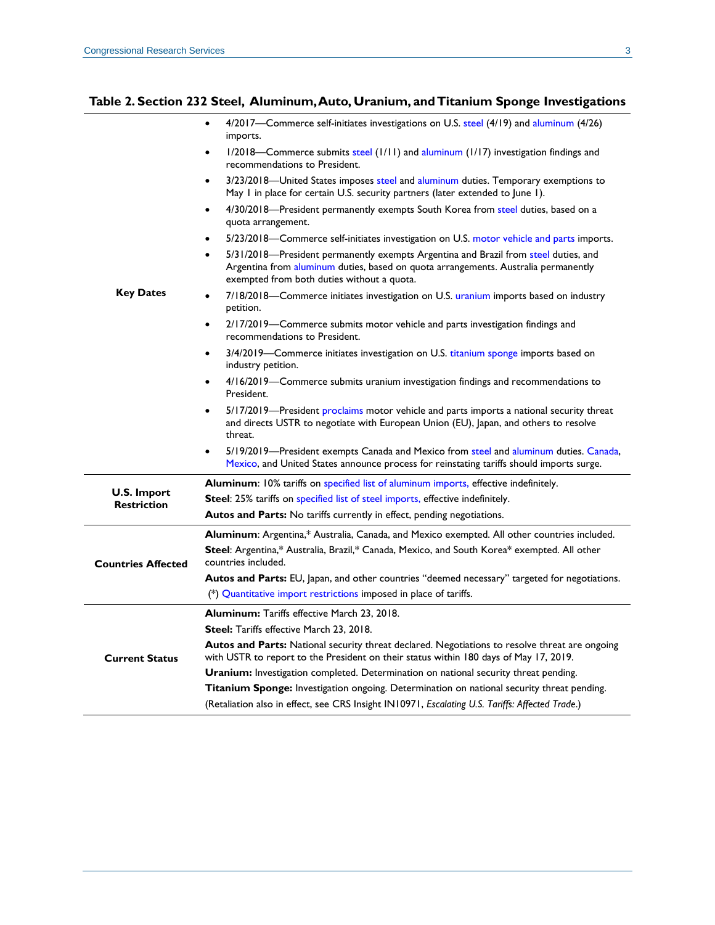#### <span id="page-2-0"></span>**Table 2. Section 232 Steel, Aluminum, Auto, Uranium, and Titanium Sponge Investigations**

| <b>Key Dates</b>                  | 4/2017—Commerce self-initiates investigations on U.S. steel (4/19) and aluminum (4/26)<br>$\bullet$<br>imports.                                                                                                                      |
|-----------------------------------|--------------------------------------------------------------------------------------------------------------------------------------------------------------------------------------------------------------------------------------|
|                                   | 1/2018—Commerce submits steel (1/11) and aluminum (1/17) investigation findings and<br>$\bullet$<br>recommendations to President.                                                                                                    |
|                                   | 3/23/2018—United States imposes steel and aluminum duties. Temporary exemptions to<br>May I in place for certain U.S. security partners (later extended to June I).                                                                  |
|                                   | 4/30/2018-President permanently exempts South Korea from steel duties, based on a<br>$\bullet$<br>quota arrangement.                                                                                                                 |
|                                   | 5/23/2018—Commerce self-initiates investigation on U.S. motor vehicle and parts imports.<br>$\bullet$                                                                                                                                |
|                                   | 5/31/2018-President permanently exempts Argentina and Brazil from steel duties, and<br>$\bullet$<br>Argentina from aluminum duties, based on quota arrangements. Australia permanently<br>exempted from both duties without a quota. |
|                                   | 7/18/2018-Commerce initiates investigation on U.S. uranium imports based on industry<br>$\bullet$<br>petition.                                                                                                                       |
|                                   | 2/17/2019—Commerce submits motor vehicle and parts investigation findings and<br>$\bullet$<br>recommendations to President.                                                                                                          |
|                                   | 3/4/2019—Commerce initiates investigation on U.S. titanium sponge imports based on<br>$\bullet$<br>industry petition.                                                                                                                |
|                                   | 4/16/2019—Commerce submits uranium investigation findings and recommendations to<br>President.                                                                                                                                       |
|                                   | 5/17/2019—President proclaims motor vehicle and parts imports a national security threat<br>$\bullet$<br>and directs USTR to negotiate with European Union (EU), Japan, and others to resolve<br>threat.                             |
|                                   | 5/19/2019—President exempts Canada and Mexico from steel and aluminum duties. Canada,<br>$\bullet$<br>Mexico, and United States announce process for reinstating tariffs should imports surge.                                       |
| U.S. Import<br><b>Restriction</b> | Aluminum: 10% tariffs on specified list of aluminum imports, effective indefinitely.                                                                                                                                                 |
|                                   | <b>Steel:</b> 25% tariffs on specified list of steel imports, effective indefinitely.                                                                                                                                                |
|                                   | Autos and Parts: No tariffs currently in effect, pending negotiations.                                                                                                                                                               |
| <b>Countries Affected</b>         | Aluminum: Argentina,* Australia, Canada, and Mexico exempted. All other countries included.                                                                                                                                          |
|                                   | Steel: Argentina,* Australia, Brazil,* Canada, Mexico, and South Korea* exempted. All other<br>countries included.                                                                                                                   |
|                                   | Autos and Parts: EU, Japan, and other countries "deemed necessary" targeted for negotiations.                                                                                                                                        |
|                                   | (*) Quantitative import restrictions imposed in place of tariffs.                                                                                                                                                                    |
| <b>Current Status</b>             | <b>Aluminum:</b> Tariffs effective March 23, 2018.                                                                                                                                                                                   |
|                                   | <b>Steel:</b> Tariffs effective March 23, 2018.                                                                                                                                                                                      |
|                                   | Autos and Parts: National security threat declared. Negotiations to resolve threat are ongoing<br>with USTR to report to the President on their status within 180 days of May 17, 2019.                                              |
|                                   | <b>Uranium:</b> Investigation completed. Determination on national security threat pending.                                                                                                                                          |
|                                   | <b>Titanium Sponge:</b> Investigation ongoing. Determination on national security threat pending.                                                                                                                                    |
|                                   | (Retaliation also in effect, see CRS Insight IN10971, Escalating U.S. Tariffs: Affected Trade.)                                                                                                                                      |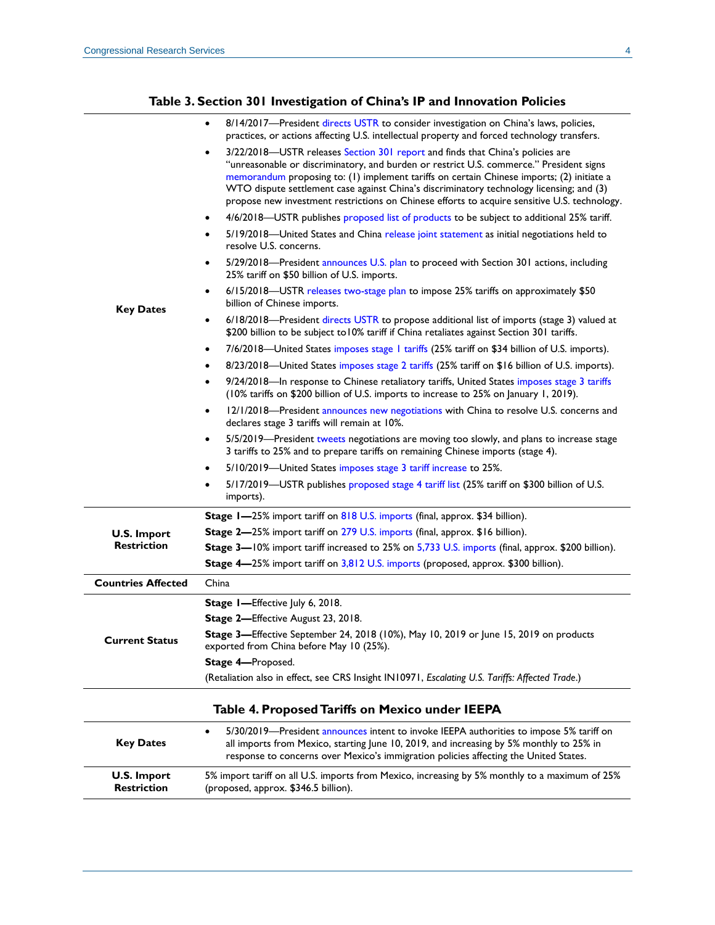#### **Table 3. Section 301 Investigation of China's IP and Innovation Policies**

<span id="page-3-1"></span><span id="page-3-0"></span>

|                                                 | 8/14/2017-President directs USTR to consider investigation on China's laws, policies,<br>practices, or actions affecting U.S. intellectual property and forced technology transfers.                                                                                                                                                                                                                                                                               |  |
|-------------------------------------------------|--------------------------------------------------------------------------------------------------------------------------------------------------------------------------------------------------------------------------------------------------------------------------------------------------------------------------------------------------------------------------------------------------------------------------------------------------------------------|--|
|                                                 | 3/22/2018-USTR releases Section 301 report and finds that China's policies are<br>"unreasonable or discriminatory, and burden or restrict U.S. commerce." President signs<br>memorandum proposing to: (1) implement tariffs on certain Chinese imports; (2) initiate a<br>WTO dispute settlement case against China's discriminatory technology licensing; and (3)<br>propose new investment restrictions on Chinese efforts to acquire sensitive U.S. technology. |  |
|                                                 | 4/6/2018—USTR publishes proposed list of products to be subject to additional 25% tariff.<br>٠                                                                                                                                                                                                                                                                                                                                                                     |  |
|                                                 | 5/19/2018—United States and China release joint statement as initial negotiations held to<br>resolve U.S. concerns.                                                                                                                                                                                                                                                                                                                                                |  |
| <b>Key Dates</b>                                | 5/29/2018—President announces U.S. plan to proceed with Section 301 actions, including<br>25% tariff on \$50 billion of U.S. imports.                                                                                                                                                                                                                                                                                                                              |  |
|                                                 | 6/15/2018-USTR releases two-stage plan to impose 25% tariffs on approximately \$50<br>٠<br>billion of Chinese imports.                                                                                                                                                                                                                                                                                                                                             |  |
|                                                 | 6/18/2018—President directs USTR to propose additional list of imports (stage 3) valued at<br>$\bullet$<br>\$200 billion to be subject to 10% tariff if China retaliates against Section 301 tariffs.                                                                                                                                                                                                                                                              |  |
|                                                 | 7/6/2018—United States imposes stage 1 tariffs (25% tariff on \$34 billion of U.S. imports).<br>٠                                                                                                                                                                                                                                                                                                                                                                  |  |
|                                                 | 8/23/2018—United States imposes stage 2 tariffs (25% tariff on \$16 billion of U.S. imports).<br>٠                                                                                                                                                                                                                                                                                                                                                                 |  |
|                                                 | 9/24/2018—In response to Chinese retaliatory tariffs, United States imposes stage 3 tariffs<br>٠<br>(10% tariffs on \$200 billion of U.S. imports to increase to 25% on January 1, 2019).                                                                                                                                                                                                                                                                          |  |
|                                                 | 12/1/2018—President announces new negotiations with China to resolve U.S. concerns and<br>٠<br>declares stage 3 tariffs will remain at 10%.                                                                                                                                                                                                                                                                                                                        |  |
|                                                 | 5/5/2019—President tweets negotiations are moving too slowly, and plans to increase stage<br>٠<br>3 tariffs to 25% and to prepare tariffs on remaining Chinese imports (stage 4).                                                                                                                                                                                                                                                                                  |  |
|                                                 | 5/10/2019-United States imposes stage 3 tariff increase to 25%.<br>٠                                                                                                                                                                                                                                                                                                                                                                                               |  |
|                                                 | 5/17/2019—USTR publishes proposed stage 4 tariff list (25% tariff on \$300 billion of U.S.<br>٠<br>imports).                                                                                                                                                                                                                                                                                                                                                       |  |
|                                                 | Stage I-25% import tariff on 818 U.S. imports (final, approx. \$34 billion).                                                                                                                                                                                                                                                                                                                                                                                       |  |
| <b>U.S. Import</b>                              | Stage 2-25% import tariff on 279 U.S. imports (final, approx. \$16 billion).                                                                                                                                                                                                                                                                                                                                                                                       |  |
| <b>Restriction</b>                              | Stage 3-10% import tariff increased to 25% on 5,733 U.S. imports (final, approx. \$200 billion).                                                                                                                                                                                                                                                                                                                                                                   |  |
|                                                 | Stage 4-25% import tariff on 3,812 U.S. imports (proposed, approx. \$300 billion).                                                                                                                                                                                                                                                                                                                                                                                 |  |
| <b>Countries Affected</b>                       | China                                                                                                                                                                                                                                                                                                                                                                                                                                                              |  |
|                                                 | Stage I-Effective July 6, 2018.                                                                                                                                                                                                                                                                                                                                                                                                                                    |  |
|                                                 | Stage 2-Effective August 23, 2018.                                                                                                                                                                                                                                                                                                                                                                                                                                 |  |
| <b>Current Status</b>                           | Stage 3—Effective September 24, 2018 (10%), May 10, 2019 or June 15, 2019 on products<br>exported from China before May 10 (25%).                                                                                                                                                                                                                                                                                                                                  |  |
|                                                 | Stage 4-Proposed.                                                                                                                                                                                                                                                                                                                                                                                                                                                  |  |
|                                                 | (Retaliation also in effect, see CRS Insight IN10971, Escalating U.S. Tariffs: Affected Trade.)                                                                                                                                                                                                                                                                                                                                                                    |  |
| Table 4. Proposed Tariffs on Mexico under IEEPA |                                                                                                                                                                                                                                                                                                                                                                                                                                                                    |  |
| <b>Key Dates</b>                                | 5/30/2019—President announces intent to invoke IEEPA authorities to impose 5% tariff on<br>all imports from Mexico, starting June 10, 2019, and increasing by 5% monthly to 25% in<br>response to concerns over Mexico's immigration policies affecting the United States.                                                                                                                                                                                         |  |
| <b>U.S. Import</b><br><b>Restriction</b>        | 5% import tariff on all U.S. imports from Mexico, increasing by 5% monthly to a maximum of 25%<br>(proposed, approx. \$346.5 billion).                                                                                                                                                                                                                                                                                                                             |  |